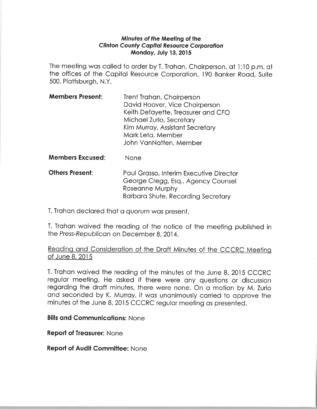#### Mínufes of the Meeling of the Clinton County Capital Resource Corporation Mondoy. July 13,2015

The meeting was called to order by T. Trahan, Chairperson, at 1:10 p.m. at the offices of the Capital Resource Corporation, 190 Banker Road, Suite 500, Plottsburgh, N.Y.

| <b>Members Present:</b> | Trent Trahan, Chairperson          |
|-------------------------|------------------------------------|
|                         | David Hoover, Vice Chairperson     |
|                         | Keith Defayette, Treasurer and CFO |
|                         | Michael Zurlo, Secretary           |
|                         | Kim Murray, Assistant Secretary    |
|                         | Mark Leta, Member                  |
|                         | John VanNatten, Member             |

Members Excused: None

**Others Present:** Paul Grasso, Interim Executive Director George Cregg, Esq., Agency Counsel Roseonne Murphy Borboro Shute, Recording Secretory

T. Trahan declared that a *quorum* was present.

T. Trahan waived the reading of the notice of the meeting published in the Press-Republican on December 8, 2014.

## Reading and Consideration of the Draft Minutes of the CCCRC Meeting of June 8, 2015

T. Trahan waived the reading of the minutes of the June 8, 2015 CCCRC regular meeting. He asked if there were any questions or discussion regarding the draft minutes, there were none. On a motion by M. Zurlo and seconded by K. Murray, it was unanimously carried to approve the minutes of the June 8,2015 CCCRC regulor meeting os presented.

#### **Bills and Communications: None**

Report of Treasurer: None

Report of Audit Committee: None